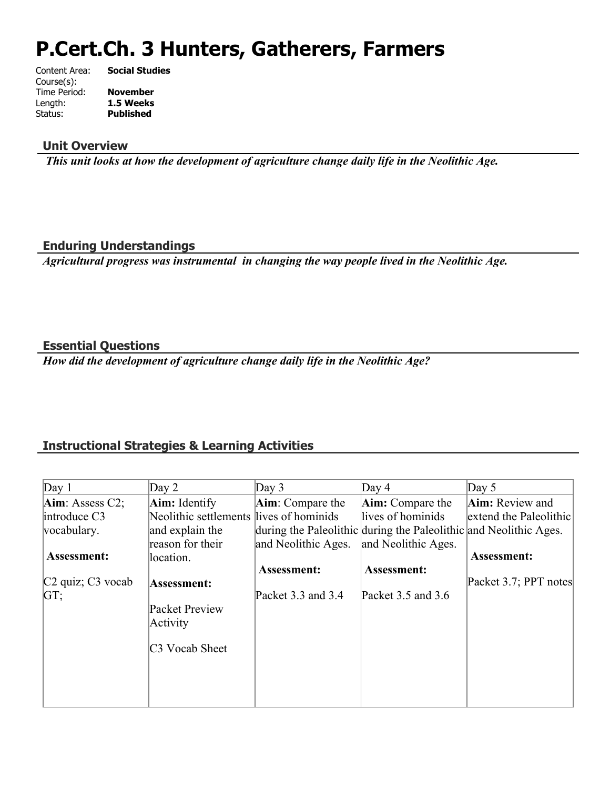# **P.Cert.Ch. 3 Hunters, Gatherers, Farmers**

| Content Area: | <b>Social Studies</b> |
|---------------|-----------------------|
| Course(s):    |                       |
| Time Period:  | <b>November</b>       |
| Length:       | 1.5 Weeks             |
| Status:       | <b>Published</b>      |
|               |                       |

#### **Unit Overview**

 *This unit looks at how the development of agriculture change daily life in the Neolithic Age.*

#### **Enduring Understandings**

*Agricultural progress was instrumental in changing the way people lived in the Neolithic Age.*

#### **Essential Questions**

*How did the development of agriculture change daily life in the Neolithic Age?*

# **Instructional Strategies & Learning Activities**

| Day 1                                     | Day 2                                   | Day $3$                                                           | Day $4$                 | Day $5$                |
|-------------------------------------------|-----------------------------------------|-------------------------------------------------------------------|-------------------------|------------------------|
| $Aim:$ Assess C2;                         | <b>Aim:</b> Identify                    | Aim: Compare the                                                  | <b>Aim:</b> Compare the | Aim: Review and        |
| introduce C3                              | Neolithic settlements lives of hominids |                                                                   | lives of hominids       | extend the Paleolithic |
| vocabulary.                               | and explain the                         | during the Paleolithic during the Paleolithic and Neolithic Ages. |                         |                        |
|                                           | reason for their                        | and Neolithic Ages.                                               | and Neolithic Ages.     |                        |
| <b>Assessment:</b>                        | location.                               |                                                                   |                         | Assessment:            |
|                                           |                                         | Assessment:                                                       | Assessment:             |                        |
| C <sub>2</sub> quiz; C <sub>3</sub> vocab | Assessment:                             |                                                                   |                         | Packet 3.7; PPT notes  |
| GT:                                       |                                         | Packet 3.3 and 3.4                                                | Packet $3.5$ and $3.6$  |                        |
|                                           | Packet Preview                          |                                                                   |                         |                        |
|                                           | Activity                                |                                                                   |                         |                        |
|                                           | C <sub>3</sub> Vocab Sheet              |                                                                   |                         |                        |
|                                           |                                         |                                                                   |                         |                        |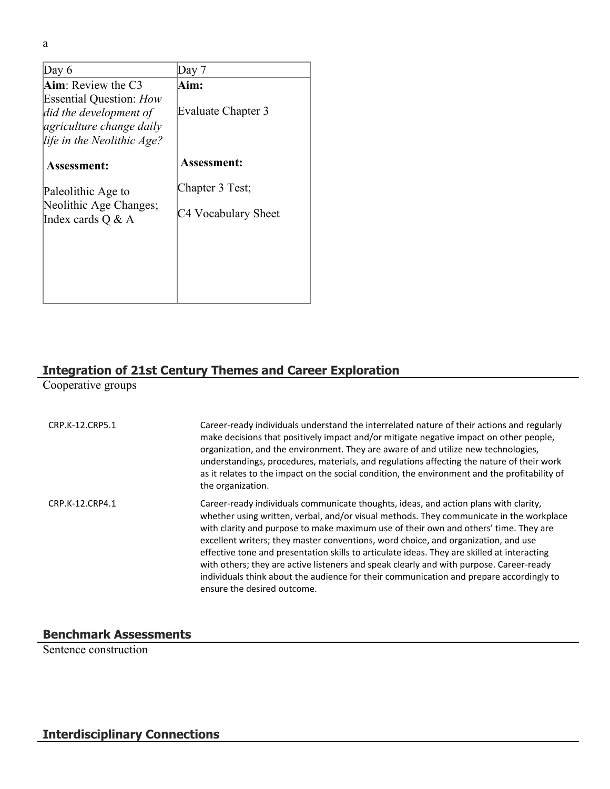| Day 6                                                                                                                     | Dav 7               |
|---------------------------------------------------------------------------------------------------------------------------|---------------------|
| $Aim:$ Review the C3                                                                                                      | Aim:                |
| <b>Essential Question: How</b><br>did the development of<br><i>agriculture change daily</i><br>life in the Neolithic Age? | Evaluate Chapter 3  |
| Assessment:                                                                                                               | <b>Assessment:</b>  |
| Paleolithic Age to                                                                                                        | Chapter 3 Test;     |
| Neolithic Age Changes;<br>Index cards $Q \& A$                                                                            | C4 Vocabulary Sheet |
|                                                                                                                           |                     |
|                                                                                                                           |                     |
|                                                                                                                           |                     |

## **Integration of 21st Century Themes and Career Exploration**

Cooperative groups

| CRP.K-12.CRP5.1 | Career-ready individuals understand the interrelated nature of their actions and regularly<br>make decisions that positively impact and/or mitigate negative impact on other people,<br>organization, and the environment. They are aware of and utilize new technologies,<br>understandings, procedures, materials, and regulations affecting the nature of their work<br>as it relates to the impact on the social condition, the environment and the profitability of<br>the organization.                                                                                                                                                                                     |
|-----------------|-----------------------------------------------------------------------------------------------------------------------------------------------------------------------------------------------------------------------------------------------------------------------------------------------------------------------------------------------------------------------------------------------------------------------------------------------------------------------------------------------------------------------------------------------------------------------------------------------------------------------------------------------------------------------------------|
| CRP.K-12.CRP4.1 | Career-ready individuals communicate thoughts, ideas, and action plans with clarity,<br>whether using written, verbal, and/or visual methods. They communicate in the workplace<br>with clarity and purpose to make maximum use of their own and others' time. They are<br>excellent writers; they master conventions, word choice, and organization, and use<br>effective tone and presentation skills to articulate ideas. They are skilled at interacting<br>with others; they are active listeners and speak clearly and with purpose. Career-ready<br>individuals think about the audience for their communication and prepare accordingly to<br>ensure the desired outcome. |

# **Benchmark Assessments**

Sentence construction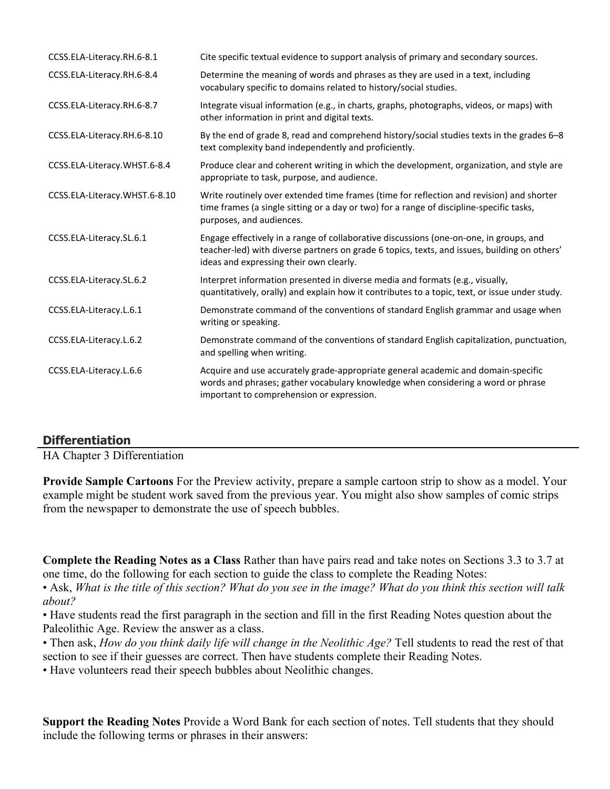| CCSS.ELA-Literacy.RH.6-8.1    | Cite specific textual evidence to support analysis of primary and secondary sources.                                                                                                                                              |
|-------------------------------|-----------------------------------------------------------------------------------------------------------------------------------------------------------------------------------------------------------------------------------|
| CCSS.ELA-Literacy.RH.6-8.4    | Determine the meaning of words and phrases as they are used in a text, including<br>vocabulary specific to domains related to history/social studies.                                                                             |
| CCSS.ELA-Literacy.RH.6-8.7    | Integrate visual information (e.g., in charts, graphs, photographs, videos, or maps) with<br>other information in print and digital texts.                                                                                        |
| CCSS.ELA-Literacy.RH.6-8.10   | By the end of grade 8, read and comprehend history/social studies texts in the grades 6-8<br>text complexity band independently and proficiently.                                                                                 |
| CCSS.ELA-Literacy.WHST.6-8.4  | Produce clear and coherent writing in which the development, organization, and style are<br>appropriate to task, purpose, and audience.                                                                                           |
| CCSS.ELA-Literacy.WHST.6-8.10 | Write routinely over extended time frames (time for reflection and revision) and shorter<br>time frames (a single sitting or a day or two) for a range of discipline-specific tasks,<br>purposes, and audiences.                  |
| CCSS.ELA-Literacy.SL.6.1      | Engage effectively in a range of collaborative discussions (one-on-one, in groups, and<br>teacher-led) with diverse partners on grade 6 topics, texts, and issues, building on others'<br>ideas and expressing their own clearly. |
| CCSS.ELA-Literacy.SL.6.2      | Interpret information presented in diverse media and formats (e.g., visually,<br>quantitatively, orally) and explain how it contributes to a topic, text, or issue under study.                                                   |
| CCSS.ELA-Literacy.L.6.1       | Demonstrate command of the conventions of standard English grammar and usage when<br>writing or speaking.                                                                                                                         |
| CCSS.ELA-Literacy.L.6.2       | Demonstrate command of the conventions of standard English capitalization, punctuation,<br>and spelling when writing.                                                                                                             |
| CCSS.ELA-Literacy.L.6.6       | Acquire and use accurately grade-appropriate general academic and domain-specific<br>words and phrases; gather vocabulary knowledge when considering a word or phrase<br>important to comprehension or expression.                |

## **Differentiation**

HA Chapter 3 Differentiation

**Provide Sample Cartoons** For the Preview activity, prepare a sample cartoon strip to show as a model. Your example might be student work saved from the previous year. You might also show samples of comic strips from the newspaper to demonstrate the use of speech bubbles.

**Complete the Reading Notes as a Class** Rather than have pairs read and take notes on Sections 3.3 to 3.7 at one time, do the following for each section to guide the class to complete the Reading Notes:

• Ask, *What is the title of this section? What do you see in the image? What do you think this section will talk about?*

• Have students read the first paragraph in the section and fill in the first Reading Notes question about the Paleolithic Age. Review the answer as a class.

• Then ask, *How do you think daily life will change in the Neolithic Age?* Tell students to read the rest of that section to see if their guesses are correct. Then have students complete their Reading Notes.

• Have volunteers read their speech bubbles about Neolithic changes.

**Support the Reading Notes** Provide a Word Bank for each section of notes. Tell students that they should include the following terms or phrases in their answers: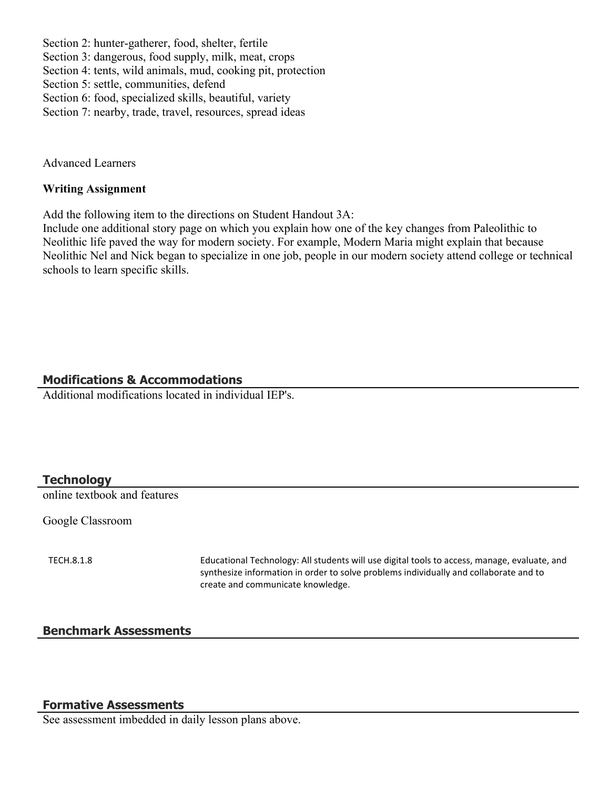Section 2: hunter-gatherer, food, shelter, fertile

Section 3: dangerous, food supply, milk, meat, crops

Section 4: tents, wild animals, mud, cooking pit, protection

Section 5: settle, communities, defend

Section 6: food, specialized skills, beautiful, variety

Section 7: nearby, trade, travel, resources, spread ideas

Advanced Learners

#### **Writing Assignment**

Add the following item to the directions on Student Handout 3A:

Include one additional story page on which you explain how one of the key changes from Paleolithic to Neolithic life paved the way for modern society. For example, Modern Maria might explain that because Neolithic Nel and Nick began to specialize in one job, people in our modern society attend college or technical schools to learn specific skills.

#### **Modifications & Accommodations**

Additional modifications located in individual IEP's.

#### **Technology**

online textbook and features

Google Classroom

TECH.8.1.8 Educational Technology: All students will use digital tools to access, manage, evaluate, and synthesize information in order to solve problems individually and collaborate and to create and communicate knowledge.

#### **Benchmark Assessments**

#### **Formative Assessments**

See assessment imbedded in daily lesson plans above.